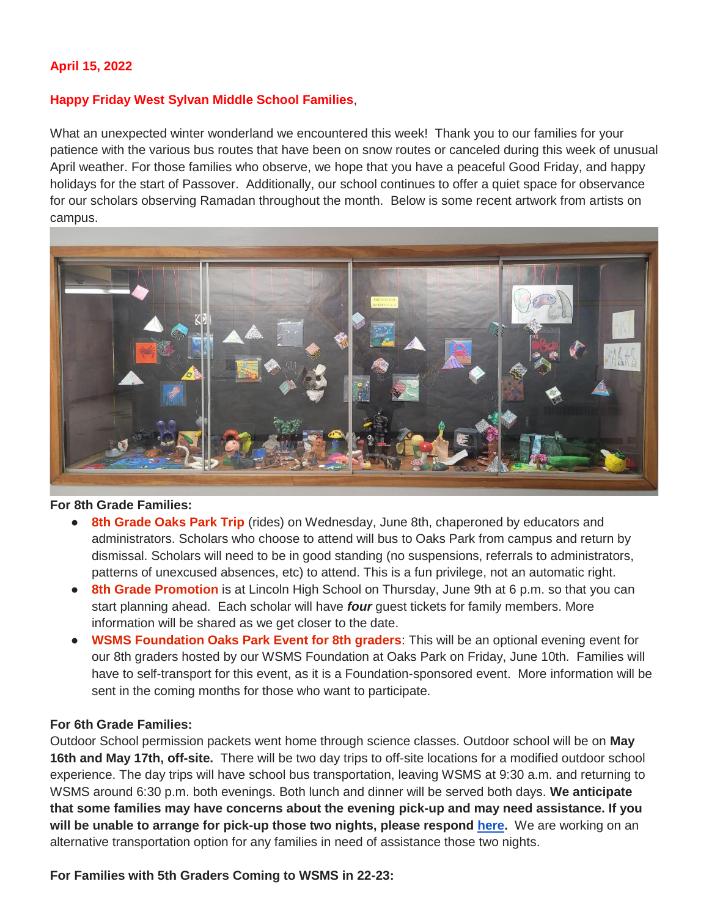## **April 15, 2022**

#### **Happy Friday West Sylvan Middle School Families**,

What an unexpected winter wonderland we encountered this week! Thank you to our families for your patience with the various bus routes that have been on snow routes or canceled during this week of unusual April weather. For those families who observe, we hope that you have a peaceful Good Friday, and happy holidays for the start of Passover. Additionally, our school continues to offer a quiet space for observance for our scholars observing Ramadan throughout the month. Below is some recent artwork from artists on campus.



#### **For 8th Grade Families:**

- 8th Grade Oaks Park Trip (rides) on Wednesday, June 8th, chaperoned by educators and administrators. Scholars who choose to attend will bus to Oaks Park from campus and return by dismissal. Scholars will need to be in good standing (no suspensions, referrals to administrators, patterns of unexcused absences, etc) to attend. This is a fun privilege, not an automatic right.
- **8th Grade Promotion** is at Lincoln High School on Thursday, June 9th at 6 p.m. so that you can start planning ahead. Each scholar will have *four* guest tickets for family members. More information will be shared as we get closer to the date.
- **WSMS Foundation Oaks Park Event for 8th graders**: This will be an optional evening event for our 8th graders hosted by our WSMS Foundation at Oaks Park on Friday, June 10th. Families will have to self-transport for this event, as it is a Foundation-sponsored event. More information will be sent in the coming months for those who want to participate.

#### **For 6th Grade Families:**

Outdoor School permission packets went home through science classes. Outdoor school will be on **May 16th and May 17th, off-site.** There will be two day trips to off-site locations for a modified outdoor school experience. The day trips will have school bus transportation, leaving WSMS at 9:30 a.m. and returning to WSMS around 6:30 p.m. both evenings. Both lunch and dinner will be served both days. **We anticipate that some families may have concerns about the evening pick-up and may need assistance. If you will be unable to arrange for pick-up those two nights, please respond [here.](https://forms.gle/hy6fptsqA3aFjc1Z8)** We are working on an alternative transportation option for any families in need of assistance those two nights.

**For Families with 5th Graders Coming to WSMS in 22-23:**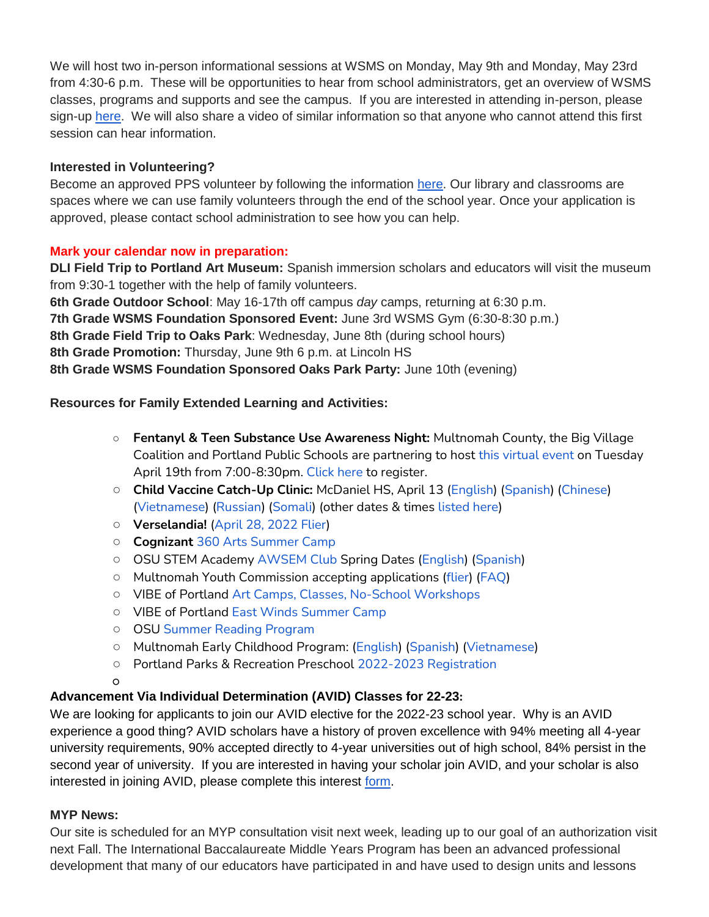We will host two in-person informational sessions at WSMS on Monday, May 9th and Monday, May 23rd from 4:30-6 p.m. These will be opportunities to hear from school administrators, get an overview of WSMS classes, programs and supports and see the campus. If you are interested in attending in-person, please sign-up [here.](https://forms.gle/ZnyhEwFhjWuacQd6A) We will also share a video of similar information so that anyone who cannot attend this first session can hear information.

## **Interested in Volunteering?**

Become an approved PPS volunteer by following the information [here.](https://www.pps.net/volunteer) Our library and classrooms are spaces where we can use family volunteers through the end of the school year. Once your application is approved, please contact school administration to see how you can help.

## **Mark your calendar now in preparation:**

**DLI Field Trip to Portland Art Museum:** Spanish immersion scholars and educators will visit the museum from 9:30-1 together with the help of family volunteers. **6th Grade Outdoor School**: May 16-17th off campus *day* camps, returning at 6:30 p.m. **7th Grade WSMS Foundation Sponsored Event:** June 3rd WSMS Gym (6:30-8:30 p.m.) **8th Grade Field Trip to Oaks Park**: Wednesday, June 8th (during school hours) **8th Grade Promotion:** Thursday, June 9th 6 p.m. at Lincoln HS

**8th Grade WSMS Foundation Sponsored Oaks Park Party:** June 10th (evening)

# **Resources for Family Extended Learning and Activities:**

- **Fentanyl & Teen Substance Use Awareness Night:** Multnomah County, the Big Village Coalition and Portland Public Schools are partnering to host [this virtual event](https://drive.google.com/file/d/1rpkL62vQgFLHluBIm9tM3b4W_L-bhfVa/view) on Tuesday April 19th from 7:00-8:30pm. [Click here](https://us02web.zoom.us/meeting/register/tZAsf--upjouE9fML5E0tnVJwgtbkhcRT2wZ) to register.
- **Child Vaccine Catch-Up Clinic:** McDaniel HS, April 13 [\(English\)](https://www.multco.us/file/116230/download) [\(Spanish\)](https://www.multco.us/file/117234/download) [\(Chinese\)](https://www.multco.us/file/117231/download) [\(Vietnamese\)](https://www.multco.us/file/117235/download) [\(Russian\)](https://www.multco.us/file/117232/download) [\(Somali\)](https://www.multco.us/file/117233/download) (other dates & times [listed here\)](https://www.multco.us/health/news/school-immunization-deadline-extended-don%E2%80%99t-wait-catch)
- **Verselandia!** [\(April 28, 2022 Flier\)](https://www.pps.net/cms/lib/OR01913224/Centricity/Domain/254/Verselandia-2022-11_17-Poster.pdf)
- **Cognizan[t](https://www.pps.net/cms/lib/OR01913224/Centricity/Domain/254/Cognizart-2022-360ArtsCamp.pdf)** [360 Arts Summer Camp](https://www.pps.net/cms/lib/OR01913224/Centricity/Domain/254/Cognizart-2022-360ArtsCamp.pdf)
- OSU STEM Academy [AWSEM Club](https://www.pps.net/cms/lib/OR01913224/Centricity/Domain/254/AWSEM_Flyer_Combined_General.pdf) Spring Dates [\(English\)](https://www.pps.net/cms/lib/OR01913224/Centricity/Domain/254/AWSEM_spring2022_English.pdf) [\(Spanish\)](https://www.pps.net/cms/lib/OR01913224/Centricity/Domain/254/AWSEM_spring2022_Spanish.pdf)
- Multnomah Youth Commission accepting applications [\(flier\)](https://www.pps.net/cms/lib/OR01913224/Centricity/Domain/254/MYC_Recruitment-2022-23.png) [\(FAQ\)](https://www.pps.net/cms/lib/OR01913224/Centricity/Domain/254/MYC_FAQ.pdf)
- VIBE of Portland [Art Camps, Classes, No-School Workshops](https://www.pps.net/cms/lib/OR01913224/Centricity/Domain/254/VIBE.jpeg)
- VIBE of Portland [East Winds Summer Camp](https://www.pps.net/cms/lib/OR01913224/Centricity/Domain/254/VIBE-east_winds_2022.jpeg)
- OSU [Summer Reading Program](https://www.pps.net/cms/lib/OR01913224/Centricity/Domain/254/OSU-reading-summer-2022.pdf)
- Multnomah Early Childhood Program: [\(English\)](https://www.pps.net/cms/lib/OR01913224/Centricity/Domain/254/MECP-2021-22-PEER-Flyer-English.pdf) [\(Spanish\)](https://www.pps.net/cms/lib/OR01913224/Centricity/Domain/254/MECP-2021-22-PEER-Flyer-Spanish.pdf) [\(Vietnamese\)](https://www.pps.net/cms/lib/OR01913224/Centricity/Domain/254/MECP-2021-22-PEER-Flyer-Vietnamese.pdf)
- Portland Parks & Recreation Preschool [2022-2023 Registration](https://www.pps.net/cms/lib/OR01913224/Centricity/Domain/254/PPR-Preschool-22-23-price-sheet.pdf)
- $\Omega$

# **Advancement Via Individual Determination (AVID) Classes for 22-23:**

We are looking for applicants to join our AVID elective for the 2022-23 school year. Why is an AVID experience a good thing? AVID scholars have a history of proven excellence with 94% meeting all 4-year university requirements, 90% accepted directly to 4-year universities out of high school, 84% persist in the second year of university. If you are interested in having your scholar join AVID, and your scholar is also interested in joining AVID, please complete this interest [form.](https://docs.google.com/forms/d/e/1FAIpQLSdpPNrTbbG1YoO1o0bwfKFg3SDu-UarWp5LE59aNPm0xsaCQg/viewform?usp=sf_link)

## **MYP News:**

Our site is scheduled for an MYP consultation visit next week, leading up to our goal of an authorization visit next Fall. The International Baccalaureate Middle Years Program has been an advanced professional development that many of our educators have participated in and have used to design units and lessons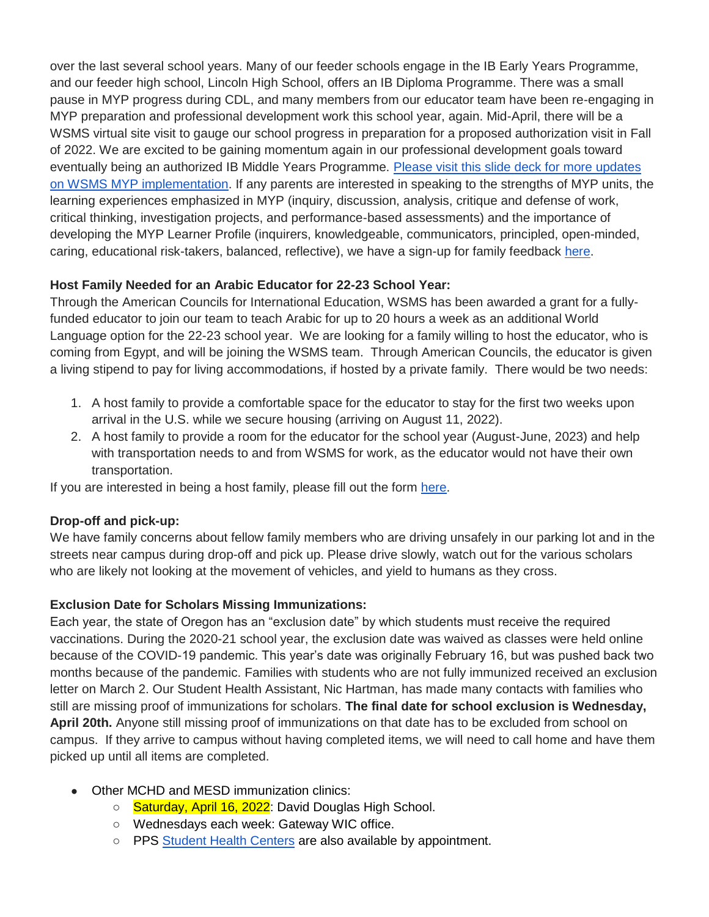over the last several school years. Many of our feeder schools engage in the IB Early Years Programme, and our feeder high school, Lincoln High School, offers an IB Diploma Programme. There was a small pause in MYP progress during CDL, and many members from our educator team have been re-engaging in MYP preparation and professional development work this school year, again. Mid-April, there will be a WSMS virtual site visit to gauge our school progress in preparation for a proposed authorization visit in Fall of 2022. We are excited to be gaining momentum again in our professional development goals toward eventually being an authorized IB Middle Years Programme. [Please visit this slide deck for more updates](https://docs.google.com/presentation/d/17SY-I5PfW5t18hZZ0ELhA85-iVSoBrj6_zKBGUaFTP8/edit?usp=sharing)  [on WSMS MYP implementation.](https://docs.google.com/presentation/d/17SY-I5PfW5t18hZZ0ELhA85-iVSoBrj6_zKBGUaFTP8/edit?usp=sharing) If any parents are interested in speaking to the strengths of MYP units, the learning experiences emphasized in MYP (inquiry, discussion, analysis, critique and defense of work, critical thinking, investigation projects, and performance-based assessments) and the importance of developing the MYP Learner Profile (inquirers, knowledgeable, communicators, principled, open-minded, caring, educational risk-takers, balanced, reflective), we have a sign-up for family feedback [here.](https://forms.gle/W5Cf7uwHptwe1jbh6)

# **Host Family Needed for an Arabic Educator for 22-23 School Year:**

Through the American Councils for International Education, WSMS has been awarded a grant for a fullyfunded educator to join our team to teach Arabic for up to 20 hours a week as an additional World Language option for the 22-23 school year. We are looking for a family willing to host the educator, who is coming from Egypt, and will be joining the WSMS team. Through American Councils, the educator is given a living stipend to pay for living accommodations, if hosted by a private family. There would be two needs:

- 1. A host family to provide a comfortable space for the educator to stay for the first two weeks upon arrival in the U.S. while we secure housing (arriving on August 11, 2022).
- 2. A host family to provide a room for the educator for the school year (August-June, 2023) and help with transportation needs to and from WSMS for work, as the educator would not have their own transportation.

If you are interested in being a host family, please fill out the form [here.](https://forms.gle/Ljte5CwpWQZtUZCN6)

# **Drop-off and pick-up:**

We have family concerns about fellow family members who are driving unsafely in our parking lot and in the streets near campus during drop-off and pick up. Please drive slowly, watch out for the various scholars who are likely not looking at the movement of vehicles, and yield to humans as they cross.

# **Exclusion Date for Scholars Missing Immunizations:**

Each year, the state of Oregon has an "exclusion date" by which students must receive the required vaccinations. During the 2020-21 school year, the exclusion date was waived as classes were held online because of the COVID-19 pandemic. This year's date was originally February 16, but was pushed back two months because of the pandemic. Families with students who are not fully immunized received an exclusion letter on March 2. Our Student Health Assistant, Nic Hartman, has made many contacts with families who still are missing proof of immunizations for scholars. **The final date for school exclusion is Wednesday, April 20th.** Anyone still missing proof of immunizations on that date has to be excluded from school on campus. If they arrive to campus without having completed items, we will need to call home and have them picked up until all items are completed.

- Other MCHD and MESD immunization clinics:
	- Saturday, April 16, 2022: David Douglas High School.
	- Wednesdays each week: Gateway WIC office.
	- PPS [Student Health Centers](https://www.multco.us/school/student-health-centers-locations-and-hours) are also available by appointment.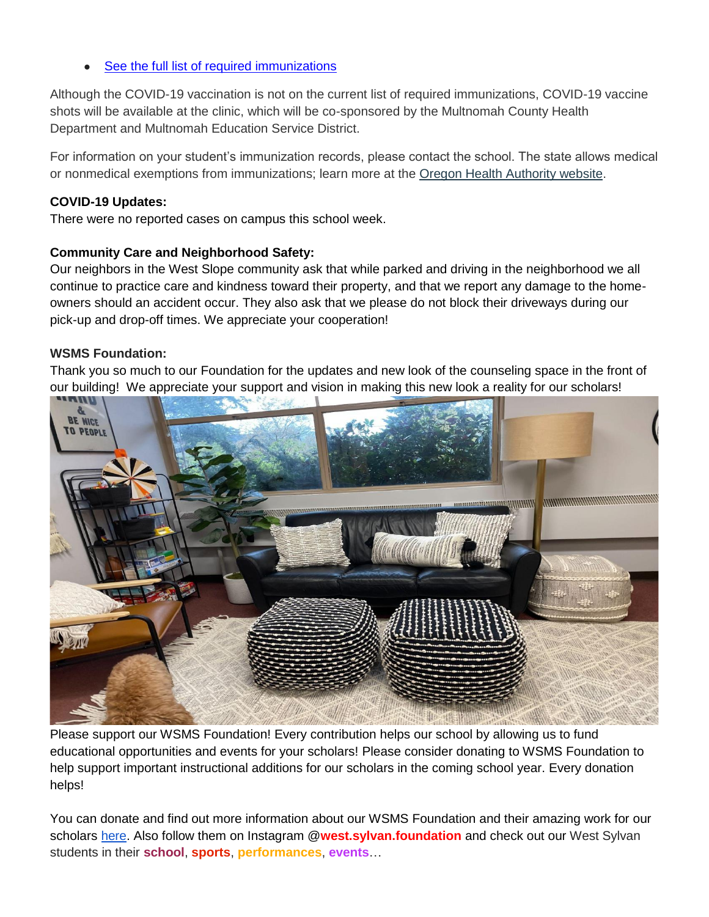[See the full list of required immunizations](http://track.spe.schoolmessenger.com/f/a/M0IGnqN1aEp_2d0z2eY96A~~/AAAAAQA~/RgRkLhhBP0RKaHR0cHM6Ly93d3cucHBzLm5ldC9jbXMvbGliL09SMDE5MTMyMjQvQ2VudHJpY2l0eS9Eb21haW4vNC9TY2hCdXNFbmcyMS5wZGZXB3NjaG9vbG1CCmJLweRMYiV1MD5SEGtjcm9tYmllQHBwcy5uZXRYBAAAAAE~)

Although the COVID-19 vaccination is not on the current list of required immunizations, COVID-19 vaccine shots will be available at the clinic, which will be co-sponsored by the Multnomah County Health Department and Multnomah Education Service District.

For information on your student's immunization records, please contact the school. The state allows medical or nonmedical exemptions from immunizations; learn more at the [Oregon Health Authority website.](http://track.spe.schoolmessenger.com/f/a/p1GVFXiYXC5HLE8_bbv2gg~~/AAAAAQA~/RgRkLhhBP0RuaHR0cHM6Ly93d3cub3JlZ29uLmdvdi9vaGEvUEgvUFJFVkVOVElPTldFTExORVNTL1ZBQ0NJTkVTSU1NVU5JWkFUSU9OL0dFVFRJTkdJTU1VTklaRUQvUGFnZXMvU2NoRXhlbXB0aW9uLmFzcHhXB3NjaG9vbG1CCmJLweRMYiV1MD5SEGtjcm9tYmllQHBwcy5uZXRYBAAAAAE~)

#### **COVID-19 Updates:**

There were no reported cases on campus this school week.

#### **Community Care and Neighborhood Safety:**

Our neighbors in the West Slope community ask that while parked and driving in the neighborhood we all continue to practice care and kindness toward their property, and that we report any damage to the homeowners should an accident occur. They also ask that we please do not block their driveways during our pick-up and drop-off times. We appreciate your cooperation!

#### **WSMS Foundation:**

Thank you so much to our Foundation for the updates and new look of the counseling space in the front of our building! We appreciate your support and vision in making this new look a reality for our scholars!



Please support our WSMS Foundation! Every contribution helps our school by allowing us to fund educational opportunities and events for your scholars! Please consider donating to WSMS Foundation to help support important instructional additions for our scholars in the coming school year. Every donation helps!

You can donate and find out more information about our WSMS Foundation and their amazing work for our scholars [here.](https://www.westsylvanfoundation.com/) Also follow them on Instagram @**west.sylvan.foundation** and check out our West Sylvan students in their **school**, **sports**, **performances**, **events**…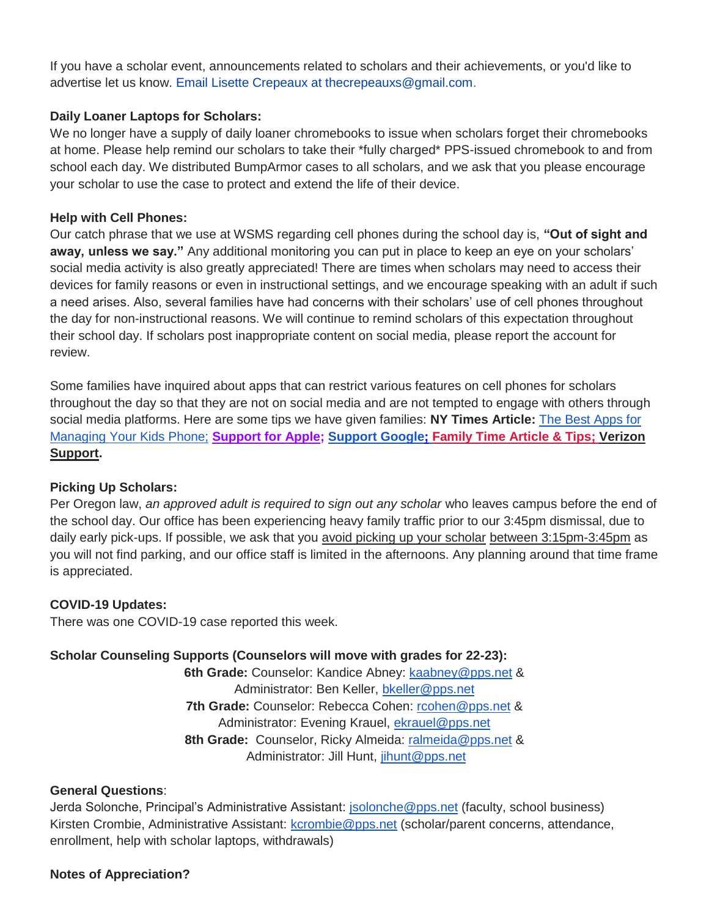If you have a scholar event, announcements related to scholars and their achievements, or you'd like to advertise let us know. Email Lisette Crepeaux at thecrepeauxs@gmail.com.

### **Daily Loaner Laptops for Scholars:**

We no longer have a supply of daily loaner chromebooks to issue when scholars forget their chromebooks at home. Please help remind our scholars to take their \*fully charged\* PPS-issued chromebook to and from school each day. We distributed BumpArmor cases to all scholars, and we ask that you please encourage your scholar to use the case to protect and extend the life of their device.

### **Help with Cell Phones:**

Our catch phrase that we use at WSMS regarding cell phones during the school day is, **"Out of sight and away, unless we say."** Any additional monitoring you can put in place to keep an eye on your scholars' social media activity is also greatly appreciated! There are times when scholars may need to access their devices for family reasons or even in instructional settings, and we encourage speaking with an adult if such a need arises. Also, several families have had concerns with their scholars' use of cell phones throughout the day for non-instructional reasons. We will continue to remind scholars of this expectation throughout their school day. If scholars post inappropriate content on social media, please report the account for review.

Some families have inquired about apps that can restrict various features on cell phones for scholars throughout the day so that they are not on social media and are not tempted to engage with others through social media platforms. Here are some tips we have given families: **NY Times Article:** [The Best Apps for](https://www.nytimes.com/wirecutter/reviews/best-apps-to-manage-your-kids-phone/)  [Managing Your Kids Phone;](https://www.nytimes.com/wirecutter/reviews/best-apps-to-manage-your-kids-phone/) **[Support for Apple;](https://support.apple.com/guide/iphone/set-up-parental-controls-iph00ba7d632/ios) [Support Google](https://support.google.com/families/answer/7103340?hl=en)[;](https://familytime.io/) [Family Time Article & Tips;](https://familytime.io/) [Verizon](https://www.verizon.com/support/verizon-smart-family-restrictions-video/)  [Support.](https://www.verizon.com/support/verizon-smart-family-restrictions-video/)** 

#### **Picking Up Scholars:**

Per Oregon law, *an approved adult is required to sign out any scholar* who leaves campus before the end of the school day. Our office has been experiencing heavy family traffic prior to our 3:45pm dismissal, due to daily early pick-ups. If possible, we ask that you avoid picking up your scholar between 3:15pm-3:45pm as you will not find parking, and our office staff is limited in the afternoons. Any planning around that time frame is appreciated.

#### **COVID-19 Updates:**

There was one COVID-19 case reported this week.

## **Scholar Counseling Supports (Counselors will move with grades for 22-23):**

**6th Grade:** Counselor: Kandice Abney: [kaabney@pps.net](mailto:kaabney@pps.net) & Administrator: Ben Keller, [bkeller@pps.net](mailto:bkeller@pps.net) **7th Grade:** Counselor: Rebecca Cohen: [rcohen@pps.net](mailto:rcohen@pps.net) & Administrator: Evening Krauel, [ekrauel@pps.net](mailto:ekrauel@pps.net) **8th Grade:** Counselor, Ricky Almeida: [ralmeida@pps.net](mailto:ralmeida@pps.net) & Administrator: Jill Hunt, [jihunt@pps.net](mailto:jihunt@pps.net)

### **General Questions**:

Jerda Solonche, Principal's Administrative Assistant: [jsolonche@pps.net](mailto:jsolonche@pps.net) (faculty, school business) Kirsten Crombie, Administrative Assistant: [kcrombie@pps.net](mailto:kcrombie@pps.net) (scholar/parent concerns, attendance, enrollment, help with scholar laptops, withdrawals)

#### **Notes of Appreciation?**